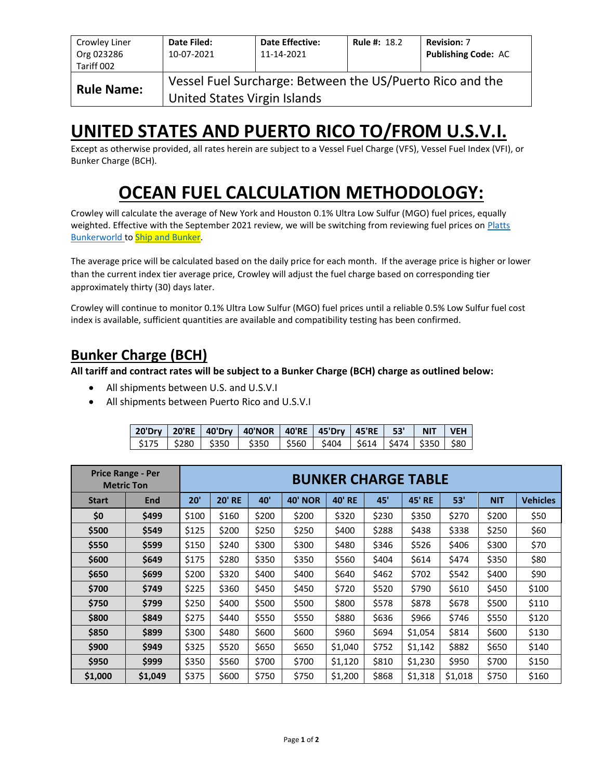| Crowley Liner<br>Org 023286<br>Tariff 002                                                                      | Date Filed:<br>10-07-2021 | <b>Date Effective:</b><br>11-14-2021 | <b>Rule #: 18.2</b> | <b>Revision: 7</b><br><b>Publishing Code: AC</b> |  |  |  |  |
|----------------------------------------------------------------------------------------------------------------|---------------------------|--------------------------------------|---------------------|--------------------------------------------------|--|--|--|--|
| Vessel Fuel Surcharge: Between the US/Puerto Rico and the<br><b>Rule Name:</b><br>United States Virgin Islands |                           |                                      |                     |                                                  |  |  |  |  |

# **UNITED STATES AND PUERTO RICO TO/FROM U.S.V.I.**

Except as otherwise provided, all rates herein are subject to a Vessel Fuel Charge (VFS), Vessel Fuel Index (VFI), or Bunker Charge (BCH).

# **OCEAN FUEL CALCULATION METHODOLOGY:**

Crowley will calculate the average of New York and Houston 0.1% Ultra Low Sulfur (MGO) fuel prices, equally weighted. Effective with the September 2021 review, we will be switching from reviewing fuel prices on Platts **[Bunkerworld](https://www.bunkerworld.com/) t[o Ship and Bunker.](https://shipandbunker.com/)** 

The average price will be calculated based on the daily price for each month. If the average price is higher or lower than the current index tier average price, Crowley will adjust the fuel charge based on corresponding tier approximately thirty (30) days later.

Crowley will continue to monitor 0.1% Ultra Low Sulfur (MGO) fuel prices until a reliable 0.5% Low Sulfur fuel cost index is available, sufficient quantities are available and compatibility testing has been confirmed.

## **Bunker Charge (BCH)**

**All tariff and contract rates will be subject to a Bunker Charge (BCH) charge as outlined below:**

- All shipments between U.S. and U.S.V.I
- All shipments between Puerto Rico and U.S.V.I

|  | 20'Dry 20'RE 40'Dry 40'NOR 40'RE 45'Dry 45'RE 53' NIT VEH                                  |  |  |  |
|--|--------------------------------------------------------------------------------------------|--|--|--|
|  | $\frac{1}{2}$ \$175   \$280   \$350   \$350   \$560   \$404   \$614   \$474   \$350   \$80 |  |  |  |

|              | <b>Price Range - Per</b><br><b>Metric Ton</b> | <b>BUNKER CHARGE TABLE</b> |               |       |                |               |       |               |         |            |                 |  |
|--------------|-----------------------------------------------|----------------------------|---------------|-------|----------------|---------------|-------|---------------|---------|------------|-----------------|--|
| <b>Start</b> | End                                           | 20'                        | <b>20' RE</b> | 40'   | <b>40' NOR</b> | <b>40' RE</b> | 45'   | <b>45' RE</b> | 53'     | <b>NIT</b> | <b>Vehicles</b> |  |
| \$0          | \$499                                         | \$100                      | \$160         | \$200 | \$200          | \$320         | \$230 | \$350         | \$270   | \$200      | \$50            |  |
| \$500        | \$549                                         | \$125                      | \$200         | \$250 | \$250          | \$400         | \$288 | \$438         | \$338   | \$250      | \$60            |  |
| \$550        | \$599                                         | \$150                      | \$240         | \$300 | \$300          | \$480         | \$346 | \$526         | \$406   | \$300      | \$70            |  |
| \$600        | \$649                                         | \$175                      | \$280         | \$350 | \$350          | \$560         | \$404 | \$614         | \$474   | \$350      | \$80            |  |
| \$650        | \$699                                         | \$200                      | \$320         | \$400 | \$400          | \$640         | \$462 | \$702         | \$542   | \$400      | \$90            |  |
| \$700        | \$749                                         | \$225                      | \$360         | \$450 | \$450          | \$720         | \$520 | \$790         | \$610   | \$450      | \$100           |  |
| \$750        | \$799                                         | \$250                      | \$400         | \$500 | \$500          | \$800         | \$578 | \$878         | \$678   | \$500      | \$110           |  |
| \$800        | \$849                                         | \$275                      | \$440         | \$550 | \$550          | \$880         | \$636 | \$966         | \$746   | \$550      | \$120           |  |
| \$850        | \$899                                         | \$300                      | \$480         | \$600 | \$600          | \$960         | \$694 | \$1,054       | \$814   | \$600      | \$130           |  |
| \$900        | \$949                                         | \$325                      | \$520         | \$650 | \$650          | \$1,040       | \$752 | \$1,142       | \$882   | \$650      | \$140           |  |
| \$950        | \$999                                         | \$350                      | \$560         | \$700 | \$700          | \$1,120       | \$810 | \$1,230       | \$950   | \$700      | \$150           |  |
| \$1,000      | \$1,049                                       | \$375                      | \$600         | \$750 | \$750          | \$1,200       | \$868 | \$1,318       | \$1,018 | \$750      | \$160           |  |